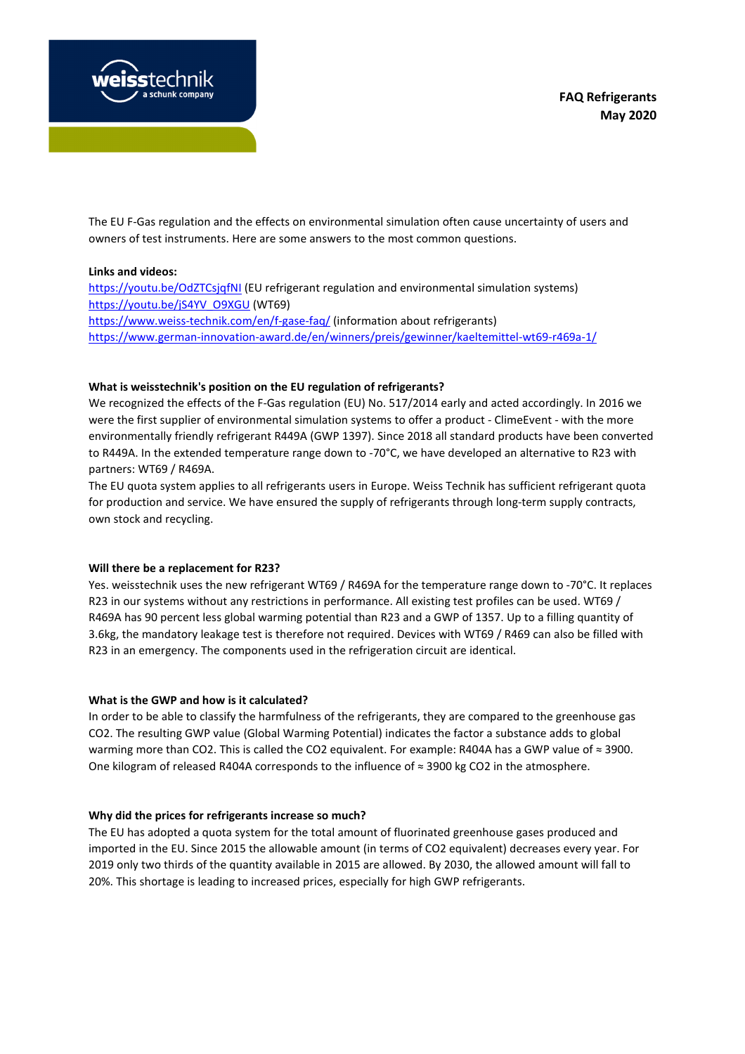

The EU F-Gas regulation and the effects on environmental simulation often cause uncertainty of users and owners of test instruments. Here are some answers to the most common questions.

#### **Links and videos:**

https://youtu.be/OdZTCsjqfNI (EU refrigerant regulation and environmental simulation systems) https://youtu.be/jS4YV\_O9XGU (WT69) https://www.weiss-technik.com/en/f-gase-faq/ (information about refrigerants) https://www.german-innovation-award.de/en/winners/preis/gewinner/kaeltemittel-wt69-r469a-1/

#### **What is weisstechnik's position on the EU regulation of refrigerants?**

We recognized the effects of the F-Gas regulation (EU) No. 517/2014 early and acted accordingly. In 2016 we were the first supplier of environmental simulation systems to offer a product - ClimeEvent - with the more environmentally friendly refrigerant R449A (GWP 1397). Since 2018 all standard products have been converted to R449A. In the extended temperature range down to -70°C, we have developed an alternative to R23 with partners: WT69 / R469A.

The EU quota system applies to all refrigerants users in Europe. Weiss Technik has sufficient refrigerant quota for production and service. We have ensured the supply of refrigerants through long-term supply contracts, own stock and recycling.

#### **Will there be a replacement for R23?**

Yes. weisstechnik uses the new refrigerant WT69 / R469A for the temperature range down to -70°C. It replaces R23 in our systems without any restrictions in performance. All existing test profiles can be used. WT69 / R469A has 90 percent less global warming potential than R23 and a GWP of 1357. Up to a filling quantity of 3.6kg, the mandatory leakage test is therefore not required. Devices with WT69 / R469 can also be filled with R23 in an emergency. The components used in the refrigeration circuit are identical.

#### **What is the GWP and how is it calculated?**

In order to be able to classify the harmfulness of the refrigerants, they are compared to the greenhouse gas CO2. The resulting GWP value (Global Warming Potential) indicates the factor a substance adds to global warming more than CO2. This is called the CO2 equivalent. For example: R404A has a GWP value of ≈ 3900. One kilogram of released R404A corresponds to the influence of ≈ 3900 kg CO2 in the atmosphere.

#### **Why did the prices for refrigerants increase so much?**

The EU has adopted a quota system for the total amount of fluorinated greenhouse gases produced and imported in the EU. Since 2015 the allowable amount (in terms of CO2 equivalent) decreases every year. For 2019 only two thirds of the quantity available in 2015 are allowed. By 2030, the allowed amount will fall to 20%. This shortage is leading to increased prices, especially for high GWP refrigerants.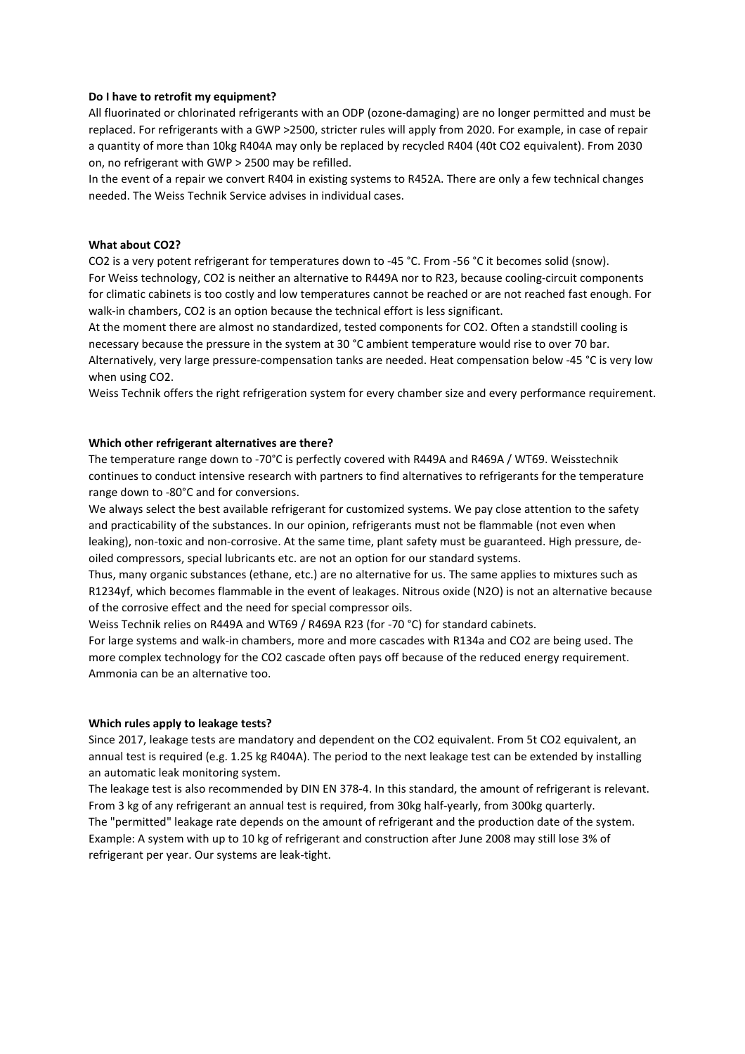#### **Do I have to retrofit my equipment?**

All fluorinated or chlorinated refrigerants with an ODP (ozone-damaging) are no longer permitted and must be replaced. For refrigerants with a GWP >2500, stricter rules will apply from 2020. For example, in case of repair a quantity of more than 10kg R404A may only be replaced by recycled R404 (40t CO2 equivalent). From 2030 on, no refrigerant with GWP > 2500 may be refilled.

In the event of a repair we convert R404 in existing systems to R452A. There are only a few technical changes needed. The Weiss Technik Service advises in individual cases.

#### **What about CO2?**

CO2 is a very potent refrigerant for temperatures down to -45 °C. From -56 °C it becomes solid (snow). For Weiss technology, CO2 is neither an alternative to R449A nor to R23, because cooling-circuit components for climatic cabinets is too costly and low temperatures cannot be reached or are not reached fast enough. For walk-in chambers, CO2 is an option because the technical effort is less significant.

At the moment there are almost no standardized, tested components for CO2. Often a standstill cooling is necessary because the pressure in the system at 30 °C ambient temperature would rise to over 70 bar. Alternatively, very large pressure-compensation tanks are needed. Heat compensation below -45 °C is very low when using CO2.

Weiss Technik offers the right refrigeration system for every chamber size and every performance requirement.

#### **Which other refrigerant alternatives are there?**

The temperature range down to -70°C is perfectly covered with R449A and R469A / WT69. Weisstechnik continues to conduct intensive research with partners to find alternatives to refrigerants for the temperature range down to -80°C and for conversions.

We always select the best available refrigerant for customized systems. We pay close attention to the safety and practicability of the substances. In our opinion, refrigerants must not be flammable (not even when leaking), non-toxic and non-corrosive. At the same time, plant safety must be guaranteed. High pressure, deoiled compressors, special lubricants etc. are not an option for our standard systems.

Thus, many organic substances (ethane, etc.) are no alternative for us. The same applies to mixtures such as R1234yf, which becomes flammable in the event of leakages. Nitrous oxide (N2O) is not an alternative because of the corrosive effect and the need for special compressor oils.

Weiss Technik relies on R449A and WT69 / R469A R23 (for -70 °C) for standard cabinets.

For large systems and walk-in chambers, more and more cascades with R134a and CO2 are being used. The more complex technology for the CO2 cascade often pays off because of the reduced energy requirement. Ammonia can be an alternative too.

#### **Which rules apply to leakage tests?**

Since 2017, leakage tests are mandatory and dependent on the CO2 equivalent. From 5t CO2 equivalent, an annual test is required (e.g. 1.25 kg R404A). The period to the next leakage test can be extended by installing an automatic leak monitoring system.

The leakage test is also recommended by DIN EN 378-4. In this standard, the amount of refrigerant is relevant. From 3 kg of any refrigerant an annual test is required, from 30kg half-yearly, from 300kg quarterly. The "permitted" leakage rate depends on the amount of refrigerant and the production date of the system. Example: A system with up to 10 kg of refrigerant and construction after June 2008 may still lose 3% of refrigerant per year. Our systems are leak-tight.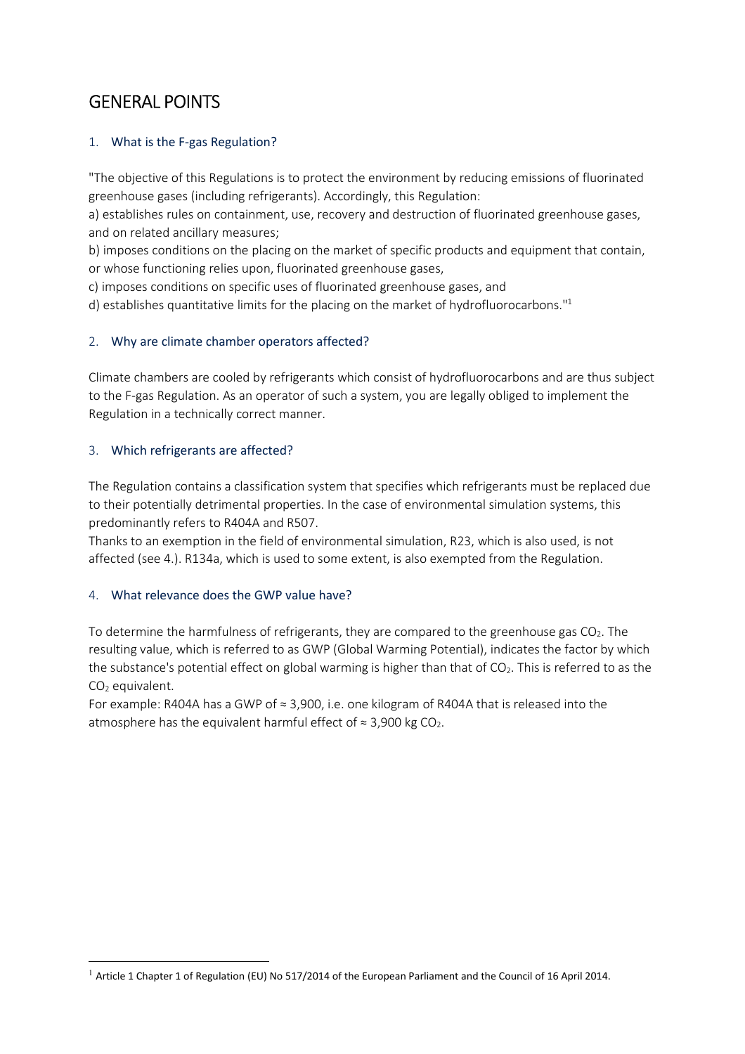# GENERAL POINTS

# 1. What is the F-gas Regulation?

"The objective of this Regulations is to protect the environment by reducing emissions of fluorinated greenhouse gases (including refrigerants). Accordingly, this Regulation:

a) establishes rules on containment, use, recovery and destruction of fluorinated greenhouse gases, and on related ancillary measures;

b) imposes conditions on the placing on the market of specific products and equipment that contain, or whose functioning relies upon, fluorinated greenhouse gases,

c) imposes conditions on specific uses of fluorinated greenhouse gases, and

d) establishes quantitative limits for the placing on the market of hydrofluorocarbons."<sup>1</sup>

# 2. Why are climate chamber operators affected?

Climate chambers are cooled by refrigerants which consist of hydrofluorocarbons and are thus subject to the F-gas Regulation. As an operator of such a system, you are legally obliged to implement the Regulation in a technically correct manner.

# 3. Which refrigerants are affected?

The Regulation contains a classification system that specifies which refrigerants must be replaced due to their potentially detrimental properties. In the case of environmental simulation systems, this predominantly refers to R404A and R507.

Thanks to an exemption in the field of environmental simulation, R23, which is also used, is not affected (see 4.). R134a, which is used to some extent, is also exempted from the Regulation.

# 4. What relevance does the GWP value have?

To determine the harmfulness of refrigerants, they are compared to the greenhouse gas CO<sub>2</sub>. The resulting value, which is referred to as GWP (Global Warming Potential), indicates the factor by which the substance's potential effect on global warming is higher than that of  $CO<sub>2</sub>$ . This is referred to as the  $CO<sub>2</sub>$  equivalent.

For example: R404A has a GWP of ≈ 3,900, i.e. one kilogram of R404A that is released into the atmosphere has the equivalent harmful effect of  $\approx$  3,900 kg CO<sub>2</sub>.

 $1$  Article 1 Chapter 1 of Regulation (EU) No 517/2014 of the European Parliament and the Council of 16 April 2014.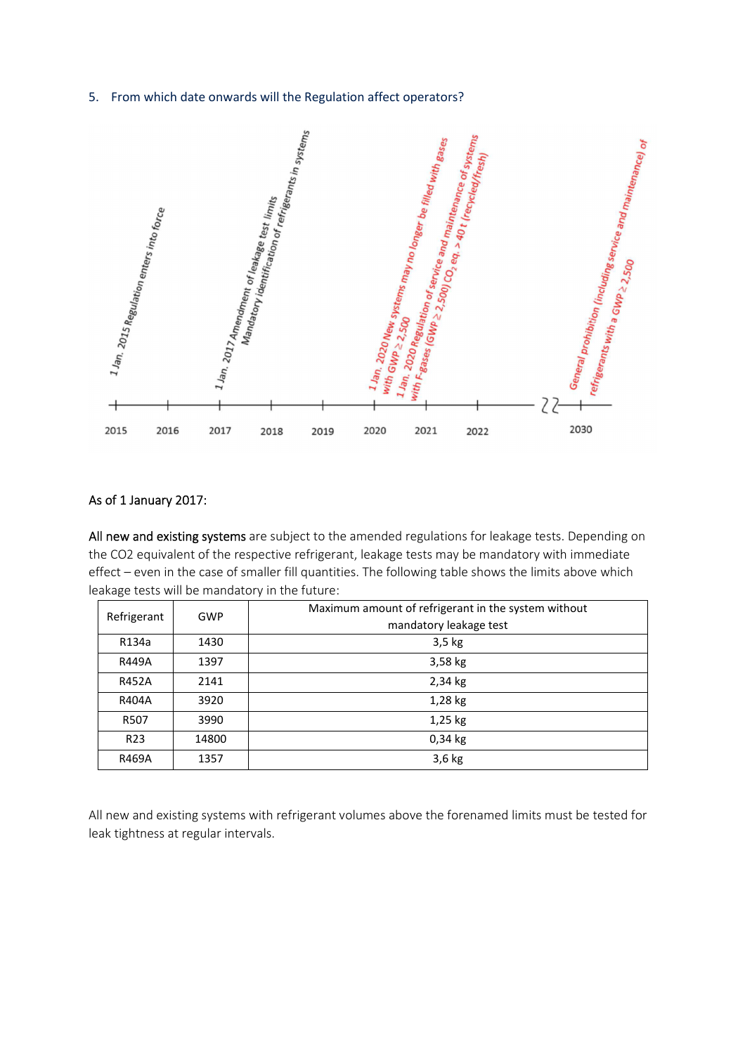### 5. From which date onwards will the Regulation affect operators?



## As of 1 January 2017:

All new and existing systems are subject to the amended regulations for leakage tests. Depending on the CO2 equivalent of the respective refrigerant, leakage tests may be mandatory with immediate effect – even in the case of smaller fill quantities. The following table shows the limits above which leakage tests will be mandatory in the future:

| Refrigerant     | <b>GWP</b> | Maximum amount of refrigerant in the system without<br>mandatory leakage test |
|-----------------|------------|-------------------------------------------------------------------------------|
| R134a           | 1430       | $3,5$ kg                                                                      |
| <b>R449A</b>    | 1397       | $3,58$ kg                                                                     |
| <b>R452A</b>    | 2141       | 2,34 kg                                                                       |
| R404A           | 3920       | 1,28 kg                                                                       |
| R507            | 3990       | $1,25$ kg                                                                     |
| R <sub>23</sub> | 14800      | $0,34$ kg                                                                     |
| R469A           | 1357       | $3,6$ kg                                                                      |

All new and existing systems with refrigerant volumes above the forenamed limits must be tested for leak tightness at regular intervals.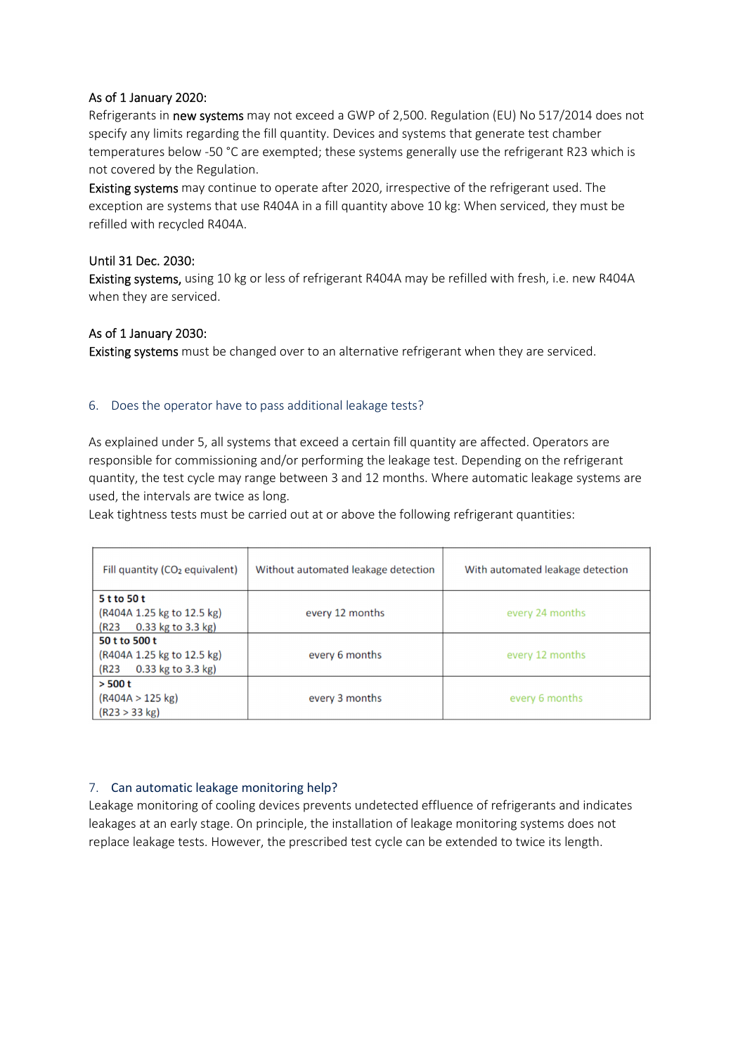## As of 1 January 2020:

Refrigerants in new systems may not exceed a GWP of 2,500. Regulation (EU) No 517/2014 does not specify any limits regarding the fill quantity. Devices and systems that generate test chamber temperatures below -50 °C are exempted; these systems generally use the refrigerant R23 which is not covered by the Regulation.

Existing systems may continue to operate after 2020, irrespective of the refrigerant used. The exception are systems that use R404A in a fill quantity above 10 kg: When serviced, they must be refilled with recycled R404A.

## Until 31 Dec. 2030:

Existing systems, using 10 kg or less of refrigerant R404A may be refilled with fresh, i.e. new R404A when they are serviced.

## As of 1 January 2030:

Existing systems must be changed over to an alternative refrigerant when they are serviced.

## 6. Does the operator have to pass additional leakage tests?

As explained under 5, all systems that exceed a certain fill quantity are affected. Operators are responsible for commissioning and/or performing the leakage test. Depending on the refrigerant quantity, the test cycle may range between 3 and 12 months. Where automatic leakage systems are used, the intervals are twice as long.

Leak tightness tests must be carried out at or above the following refrigerant quantities:

| Fill quantity (CO <sub>2</sub> equivalent)                                  | Without automated leakage detection | With automated leakage detection |
|-----------------------------------------------------------------------------|-------------------------------------|----------------------------------|
| 5 t to 50 t<br>(R404A 1.25 kg to 12.5 kg)<br>0.33 kg to 3.3 kg)<br>(R23     | every 12 months                     | every 24 months                  |
| 50 t to 500 t<br>(R404A 1.25 kg to 12.5 kg)<br>$0.33$ kg to 3.3 kg)<br>(R23 | every 6 months                      | every 12 months                  |
| $>$ 500 t<br>(R404A > 125 kg)<br>(R23 > 33 kg)                              | every 3 months                      | every 6 months                   |

### 7. Can automatic leakage monitoring help?

Leakage monitoring of cooling devices prevents undetected effluence of refrigerants and indicates leakages at an early stage. On principle, the installation of leakage monitoring systems does not replace leakage tests. However, the prescribed test cycle can be extended to twice its length.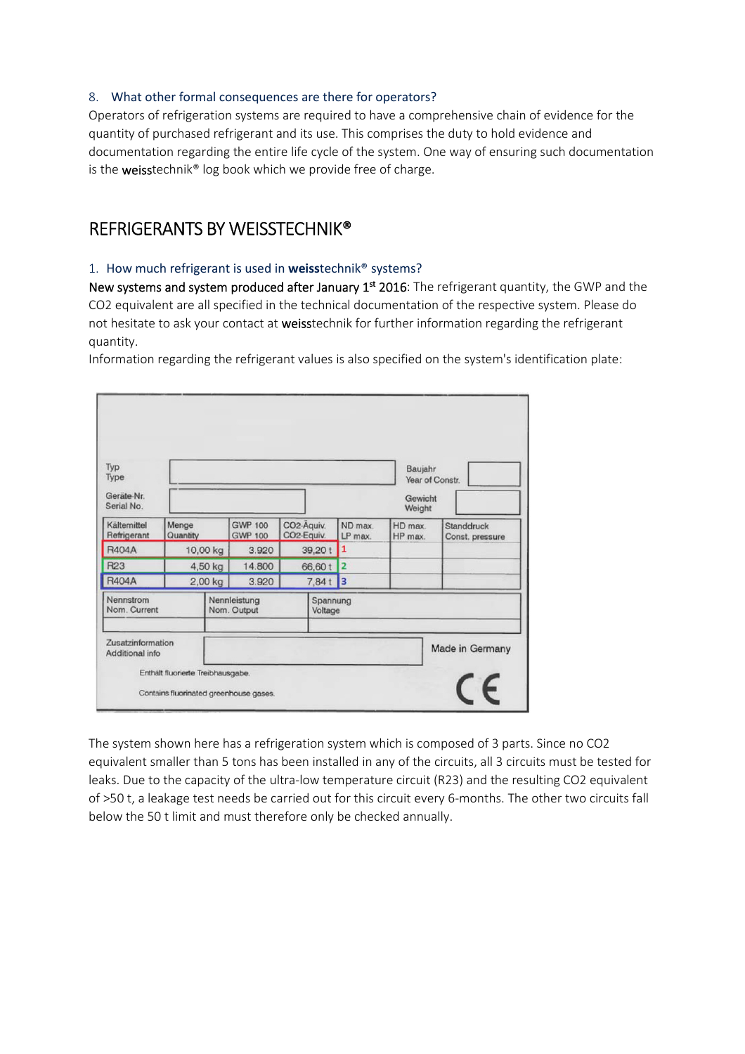## 8. What other formal consequences are there for operators?

Operators of refrigeration systems are required to have a comprehensive chain of evidence for the quantity of purchased refrigerant and its use. This comprises the duty to hold evidence and documentation regarding the entire life cycle of the system. One way of ensuring such documentation is the weisstechnik<sup>®</sup> log book which we provide free of charge.

# REFRIGERANTS BY WEISSTECHNIK®

## 1. How much refrigerant is used in **weiss**technik® systems?

New systems and system produced after January 1<sup>st</sup> 2016: The refrigerant quantity, the GWP and the CO2 equivalent are all specified in the technical documentation of the respective system. Please do not hesitate to ask your contact at weisstechnik for further information regarding the refrigerant quantity.

Information regarding the refrigerant values is also specified on the system's identification plate:

| Refrigerant<br><b>R404A</b><br>R23<br><b>R404A</b> | Quantity | 2,00 kg                    | <b>GWP 100</b><br>3.920<br>14.800<br>3.920 |                                                             | LP max.<br>1<br>$\overline{2}$<br>$\vert$ <sub>3</sub><br>7,84t |        | HP max.                              | Const. pressure |
|----------------------------------------------------|----------|----------------------------|--------------------------------------------|-------------------------------------------------------------|-----------------------------------------------------------------|--------|--------------------------------------|-----------------|
|                                                    |          | 4,50 kg                    |                                            | 66,60 t                                                     |                                                                 |        |                                      |                 |
| Kältemittel                                        | Menge    | <b>GWP 100</b><br>10,00 kg |                                            | CO <sub>2</sub> -Aquiv.<br>CO <sub>2-Equiv.</sub><br>39,20t |                                                                 | ND max | HD max.                              | Standdruck      |
| Type<br>Geräte-Nr.<br>Serial No.                   |          |                            |                                            |                                                             |                                                                 |        | Year of Constr.<br>Gewicht<br>Weight |                 |

The system shown here has a refrigeration system which is composed of 3 parts. Since no CO2 equivalent smaller than 5 tons has been installed in any of the circuits, all 3 circuits must be tested for leaks. Due to the capacity of the ultra-low temperature circuit (R23) and the resulting CO2 equivalent of >50 t, a leakage test needs be carried out for this circuit every 6-months. The other two circuits fall below the 50 t limit and must therefore only be checked annually.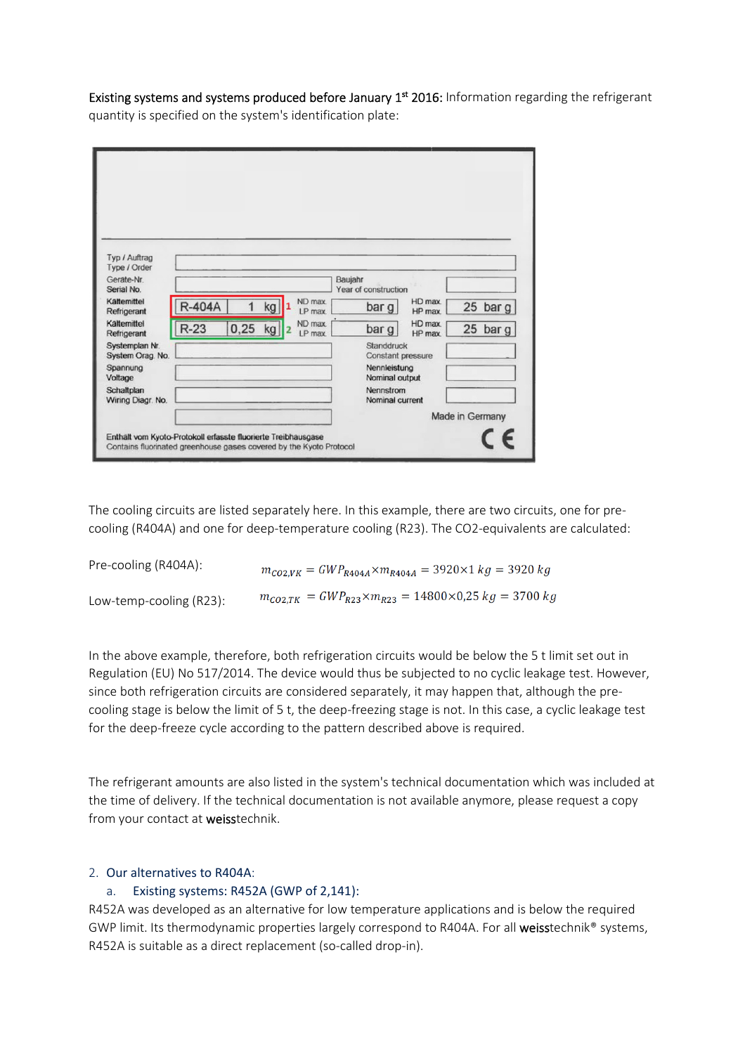Existing systems and systems produced before January 1<sup>st</sup> 2016: Information regarding the refrigerant quantity is specified on the system's identification plate:

| Typ / Auftrag<br>Type / Order   |               |      |    |                    |         |                                          |                    |                 |            |
|---------------------------------|---------------|------|----|--------------------|---------|------------------------------------------|--------------------|-----------------|------------|
| Gerate-Nr.                      |               |      |    |                    | Baujahr |                                          |                    |                 |            |
| Serial No.                      |               |      |    |                    |         | Year of construction                     |                    |                 |            |
| Kältemittel<br>Refrigerant      | <b>R-404A</b> | 1    | kg | ND max<br>LP max.  |         | bar g                                    | HD max<br>HP max.  |                 | 25 bar $g$ |
| Kältemittel<br>Refrigerant      | $R-23$        | 0,25 | kg | ND max<br>$LP$ max |         | bar g                                    | HD max.<br>HP max. |                 | 25 bar g   |
| Systemplan Nr.                  |               |      |    |                    |         | Standdruck                               |                    |                 |            |
| System Orag. No.<br>Spannung    |               |      |    |                    |         | <b>Constant pressure</b><br>Nennleistung |                    |                 |            |
| Voltage                         |               |      |    |                    |         | Nominal output                           |                    |                 |            |
| Schaltplan<br>Wiring Diagr. No. |               |      |    |                    |         | Nennstrom<br>Nominal current             |                    |                 |            |
|                                 |               |      |    |                    |         |                                          |                    | Made in Germany |            |
|                                 |               |      |    |                    |         |                                          |                    |                 |            |

The cooling circuits are listed separately here. In this example, there are two circuits, one for precooling (R404A) and one for deep-temperature cooling (R23). The CO2-equivalents are calculated:

| Pre-cooling (R404A):    | $m_{CO2,VK} = GWP_{R404A} \times m_{R404A} = 3920 \times 1 kg = 3920 kg$ |
|-------------------------|--------------------------------------------------------------------------|
| Low-temp-cooling (R23): | $m_{CO2,TK} = GWP_{R23} \times m_{R23} = 14800 \times 0.25 kg = 3700 kg$ |

In the above example, therefore, both refrigeration circuits would be below the 5 t limit set out in Regulation (EU) No 517/2014. The device would thus be subjected to no cyclic leakage test. However, since both refrigeration circuits are considered separately, it may happen that, although the precooling stage is below the limit of 5 t, the deep-freezing stage is not. In this case, a cyclic leakage test for the deep-freeze cycle according to the pattern described above is required.

The refrigerant amounts are also listed in the system's technical documentation which was included at the time of delivery. If the technical documentation is not available anymore, please request a copy from your contact at weisstechnik.

### 2. Our alternatives to R404A:

### a. Existing systems: R452A (GWP of 2,141):

R452A was developed as an alternative for low temperature applications and is below the required GWP limit. Its thermodynamic properties largely correspond to R404A. For all weisstechnik<sup>®</sup> systems, R452A is suitable as a direct replacement (so-called drop-in).